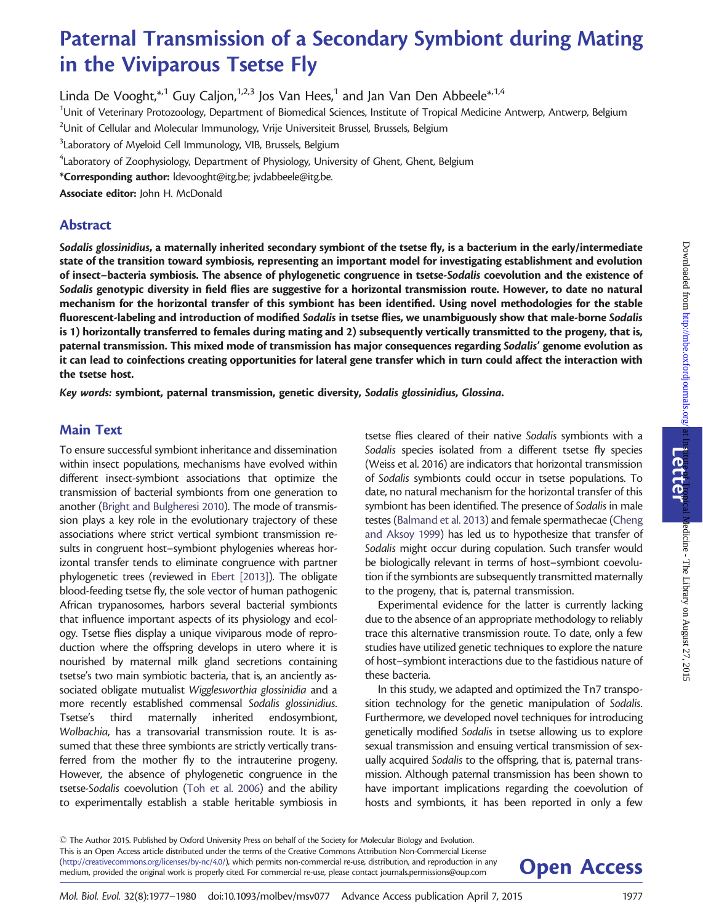# Paternal Transmission of a Secondary Symbiont during Mating in the Viviparous Tsetse Fly

Linda De Vooght, $*1$  Guy Caljon,<sup>1,2,3</sup> Jos Van Hees,<sup>1</sup> and Jan Van Den Abbeele $*1,4$ 

<sup>1</sup>Unit of Veterinary Protozoology, Department of Biomedical Sciences, Institute of Tropical Medicine Antwerp, Antwerp, Belgium  $^{2}$ Unit of Cellular and Molecular Immunology, Vrije Universiteit Brussel, Brussels, Belgium

 $3$ Laboratory of Myeloid Cell Immunology, VIB, Brussels, Belgium

 ${\rm ^4}$ Laboratory of Zoophysiology, Department of Physiology, University of Ghent, Ghent, Belgium

\*Corresponding author: ldevooght@itg.be; jvdabbeele@itg.be.

Associate editor: John H. McDonald

### Abstract

Sodalis glossinidius, a maternally inherited secondary symbiont of the tsetse fly, is a bacterium in the early/intermediate state of the transition toward symbiosis, representing an important model for investigating establishment and evolution of insect–bacteria symbiosis. The absence of phylogenetic congruence in tsetse-Sodalis coevolution and the existence of Sodalis genotypic diversity in field flies are suggestive for a horizontal transmission route. However, to date no natural mechanism for the horizontal transfer of this symbiont has been identified. Using novel methodologies for the stable fluorescent-labeling and introduction of modified Sodalis in tsetse flies, we unambiguously show that male-borne Sodalis is 1) horizontally transferred to females during mating and 2) subsequently vertically transmitted to the progeny, that is, paternal transmission. This mixed mode of transmission has major consequences regarding Sodalis' genome evolution as it can lead to coinfections creating opportunities for lateral gene transfer which in turn could affect the interaction with the tsetse host.

Key words: symbiont, paternal transmission, genetic diversity, Sodalis glossinidius, Glossina.

## Main Text

To ensure successful symbiont inheritance and dissemination within insect populations, mechanisms have evolved within different insect-symbiont associations that optimize the transmission of bacterial symbionts from one generation to another ([Bright and Bulgheresi 2010\)](#page-3-0). The mode of transmission plays a key role in the evolutionary trajectory of these associations where strict vertical symbiont transmission results in congruent host–symbiont phylogenies whereas horizontal transfer tends to eliminate congruence with partner phylogenetic trees (reviewed in [Ebert \[2013\]\)](#page-3-0). The obligate blood-feeding tsetse fly, the sole vector of human pathogenic African trypanosomes, harbors several bacterial symbionts that influence important aspects of its physiology and ecology. Tsetse flies display a unique viviparous mode of reproduction where the offspring develops in utero where it is nourished by maternal milk gland secretions containing tsetse's two main symbiotic bacteria, that is, an anciently associated obligate mutualist Wigglesworthia glossinidia and a more recently established commensal Sodalis glossinidius. Tsetse's third maternally inherited endosymbiont, Wolbachia, has a transovarial transmission route. It is assumed that these three symbionts are strictly vertically transferred from the mother fly to the intrauterine progeny. However, the absence of phylogenetic congruence in the tsetse-Sodalis coevolution [\(Toh et al. 2006\)](#page-3-0) and the ability to experimentally establish a stable heritable symbiosis in

tsetse flies cleared of their native Sodalis symbionts with a Sodalis species isolated from a different tsetse fly species (Weiss et al. 2016) are indicators that horizontal transmission of Sodalis symbionts could occur in tsetse populations. To date, no natural mechanism for the horizontal transfer of this symbiont has been identified. The presence of Sodalis in male testes [\(Balmand et al. 2013\)](#page-3-0) and female spermathecae [\(Cheng](#page-3-0) [and Aksoy 1999\)](#page-3-0) has led us to hypothesize that transfer of Sodalis might occur during copulation. Such transfer would be biologically relevant in terms of host–symbiont coevolution if the symbionts are subsequently transmitted maternally to the progeny, that is, paternal transmission.

Experimental evidence for the latter is currently lacking due to the absence of an appropriate methodology to reliably trace this alternative transmission route. To date, only a few studies have utilized genetic techniques to explore the nature of host–symbiont interactions due to the fastidious nature of these bacteria.

In this study, we adapted and optimized the Tn7 transposition technology for the genetic manipulation of Sodalis. Furthermore, we developed novel techniques for introducing genetically modified Sodalis in tsetse allowing us to explore sexual transmission and ensuing vertical transmission of sexually acquired Sodalis to the offspring, that is, paternal transmission. Although paternal transmission has been shown to have important implications regarding the coevolution of hosts and symbionts, it has been reported in only a few

 $\odot$  The Author 2015. Published by Oxford University Press on behalf of the Society for Molecular Biology and Evolution. This is an Open Access article distributed under the terms of the Creative Commons Attribution Non-Commercial License [\(http://creativecommons.org/licenses/by-nc/4.0/\)](http://creativecommons.org/licenses/by-nc/4.0/), which permits non-commercial re-use, distribution, and reproduction in any **Open Access** 

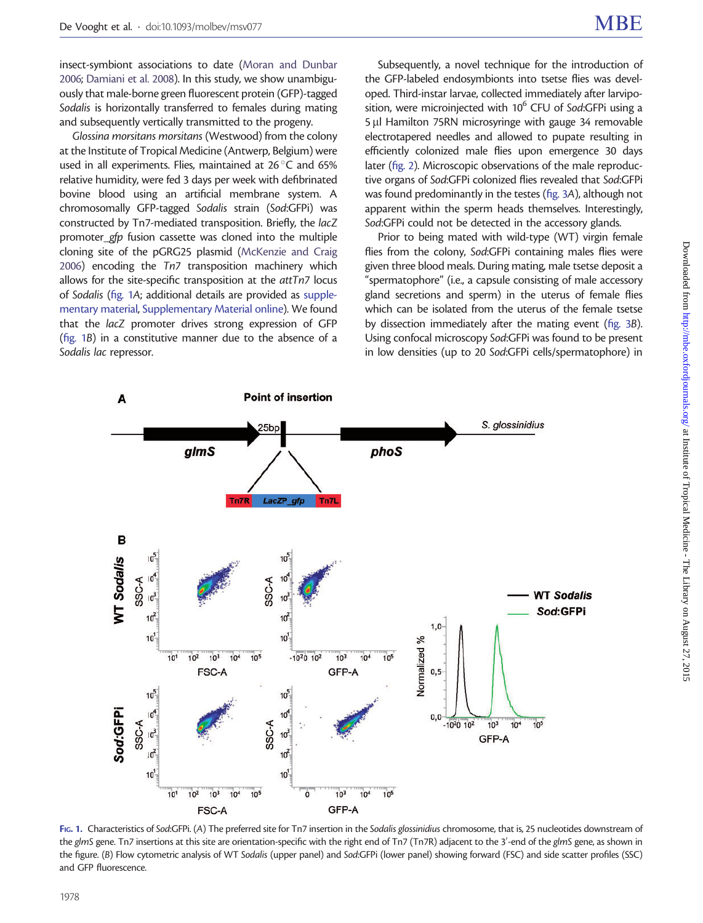insect-symbiont associations to date ([Moran and Dunbar](#page-3-0) [2006;](#page-3-0) [Damiani et al. 2008](#page-3-0)). In this study, we show unambiguously that male-borne green fluorescent protein (GFP)-tagged Sodalis is horizontally transferred to females during mating and subsequently vertically transmitted to the progeny.

Glossina morsitans morsitans (Westwood) from the colony at the Institute of Tropical Medicine (Antwerp, Belgium) were used in all experiments. Flies, maintained at  $26^{\circ}$ C and 65% relative humidity, were fed 3 days per week with defibrinated bovine blood using an artificial membrane system. A chromosomally GFP-tagged Sodalis strain (Sod:GFPi) was constructed by Tn7-mediated transposition. Briefly, the lacZ promoter gfp fusion cassette was cloned into the multiple cloning site of the pGRG25 plasmid [\(McKenzie and Craig](#page-3-0) [2006\)](#page-3-0) encoding the Tn7 transposition machinery which allows for the site-specific transposition at the attTn7 locus of Sodalis (fig. 1A; additional details are provided as [supple](http://mbe.oxfordjournals.org/lookup/suppl/doi:10.1093/molbev/msv077/-/DC1)[mentary material,](http://mbe.oxfordjournals.org/lookup/suppl/doi:10.1093/molbev/msv077/-/DC1) [Supplementary Material online\)](http://mbe.oxfordjournals.org/lookup/suppl/doi:10.1093/molbev/msv077/-/DC1). We found that the lacZ promoter drives strong expression of GFP (fig. 1B) in a constitutive manner due to the absence of a Sodalis lac repressor.

Subsequently, a novel technique for the introduction of the GFP-labeled endosymbionts into tsetse flies was developed. Third-instar larvae, collected immediately after larviposition, were microiniected with  $10^6$  CFU of Sod:GFPi using a 5 µl Hamilton 75RN microsyringe with gauge 34 removable electrotapered needles and allowed to pupate resulting in efficiently colonized male flies upon emergence 30 days later [\(fig. 2\)](#page-2-0). Microscopic observations of the male reproductive organs of Sod:GFPi colonized flies revealed that Sod:GFPi was found predominantly in the testes [\(fig. 3](#page-2-0)A), although not apparent within the sperm heads themselves. Interestingly, Sod:GFPi could not be detected in the accessory glands.

Prior to being mated with wild-type (WT) virgin female flies from the colony, Sod:GFPi containing males flies were given three blood meals. During mating, male tsetse deposit a "spermatophore" (i.e., a capsule consisting of male accessory gland secretions and sperm) in the uterus of female flies which can be isolated from the uterus of the female tsetse by dissection immediately after the mating event [\(fig. 3](#page-2-0)B). Using confocal microscopy Sod:GFPi was found to be present in low densities (up to 20 Sod:GFPi cells/spermatophore) in



FIG. 1. Characteristics of Sod:GFPi. (A) The preferred site for Tn7 insertion in the Sodalis glossinidius chromosome, that is, 25 nucleotides downstream of the glmS gene. Tn7 insertions at this site are orientation-specific with the right end of Tn7 (Tn7R) adjacent to the 3'-end of the glmS gene, as shown in the figure. (B) Flow cytometric analysis of WT Sodalis (upper panel) and Sod:GFPi (lower panel) showing forward (FSC) and side scatter profiles (SSC) and GFP fluorescence.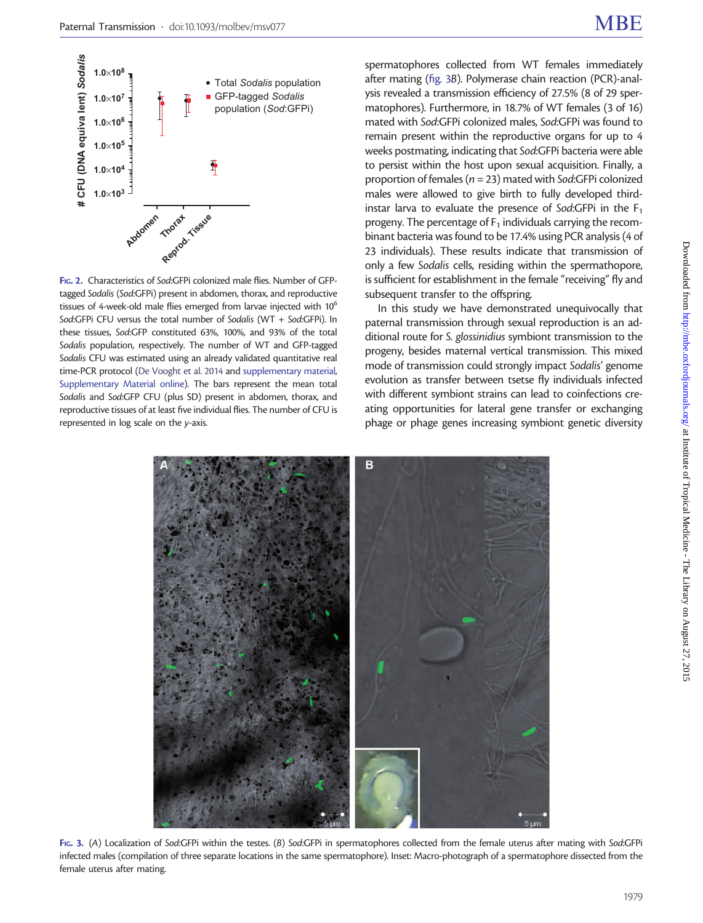<span id="page-2-0"></span>

FIG. 2. Characteristics of Sod:GFPi colonized male flies. Number of GFPtagged Sodalis (Sod:GFPi) present in abdomen, thorax, and reproductive tissues of 4-week-old male flies emerged from larvae injected with  $10<sup>6</sup>$ Sod:GFPi CFU versus the total number of Sodalis (WT + Sod:GFPi). In these tissues, Sod:GFP constituted 63%, 100%, and 93% of the total Sodalis population, respectively. The number of WT and GFP-tagged Sodalis CFU was estimated using an already validated quantitative real time-PCR protocol [\(De Vooght et al. 2014](#page-3-0) and [supplementary material](http://mbe.oxfordjournals.org/lookup/suppl/doi:10.1093/molbev/msv077/-/DC1), [Supplementary Material online\)](http://mbe.oxfordjournals.org/lookup/suppl/doi:10.1093/molbev/msv077/-/DC1). The bars represent the mean total Sodalis and Sod:GFP CFU (plus SD) present in abdomen, thorax, and reproductive tissues of at least five individual flies. The number of CFU is represented in log scale on the y-axis.

spermatophores collected from WT females immediately after mating (fig. 3B). Polymerase chain reaction (PCR)-analysis revealed a transmission efficiency of 27.5% (8 of 29 spermatophores). Furthermore, in 18.7% of WT females (3 of 16) mated with Sod:GFPi colonized males, Sod:GFPi was found to remain present within the reproductive organs for up to 4 weeks postmating, indicating that Sod:GFPi bacteria were able to persist within the host upon sexual acquisition. Finally, a proportion of females ( $n = 23$ ) mated with Sod:GFPi colonized males were allowed to give birth to fully developed thirdinstar larva to evaluate the presence of Sod:GFPi in the  $F_1$ progeny. The percentage of  $F_1$  individuals carrying the recombinant bacteria was found to be 17.4% using PCR analysis (4 of 23 individuals). These results indicate that transmission of only a few Sodalis cells, residing within the spermathopore, is sufficient for establishment in the female "receiving" fly and subsequent transfer to the offspring.

In this study we have demonstrated unequivocally that paternal transmission through sexual reproduction is an additional route for S. glossinidius symbiont transmission to the progeny, besides maternal vertical transmission. This mixed mode of transmission could strongly impact Sodalis' genome evolution as transfer between tsetse fly individuals infected with different symbiont strains can lead to coinfections creating opportunities for lateral gene transfer or exchanging phage or phage genes increasing symbiont genetic diversity



FIG. 3. (A) Localization of Sod:GFPi within the testes. (B) Sod:GFPi in spermatophores collected from the female uterus after mating with Sod:GFPi infected males (compilation of three separate locations in the same spermatophore). Inset: Macro-photograph of a spermatophore dissected from the female uterus after mating.